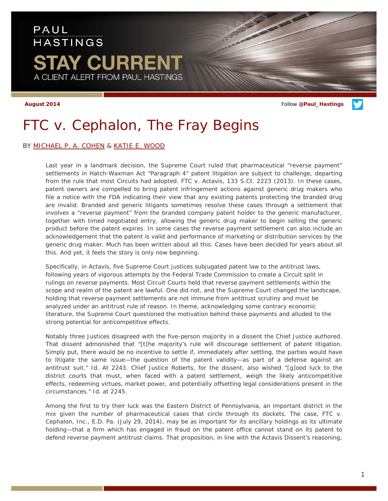# PAUL **HASTINGS STAY CURRENT** A CLIENT ALERT FROM PAUL HASTINGS

**August 2014** Follow **[@Paul\\_Hastings](http://twitter.com/Paul_Hastings)**

# *FTC v. Cephalon,* The Fray Begins

BY [MICHAEL P. A. COHEN](http://www.paulhastings.com/Professionals/details/michaelcohen) & [KATIE E. WOOD](http://paulhastings.com/Professionals/details/katiewood/)

Last year in a landmark decision, the Supreme Court ruled that pharmaceutical "reverse payment" settlements in Hatch-Waxman Act "Paragraph 4" patent litigation are subject to challenge, departing from the rule that most Circuits had adopted. *FTC v. Actavis*, 133 S.Ct. 2223 (2013). In these cases, patent owners are compelled to bring patent infringement actions against generic drug makers who file a notice with the FDA indicating their view that any existing patents protecting the branded drug are invalid. Branded and generic litigants sometimes resolve these cases through a settlement that involves a "reverse payment" from the branded company patent holder to the generic manufacturer, together with timed negotiated entry, allowing the generic drug maker to begin selling the generic product before the patent expires. In some cases the reverse payment settlement can also include an acknowledgement that the patent is valid and performance of marketing or distribution services by the generic drug maker. Much has been written about all this. Cases have been decided for years about all this. And yet, it feels the story is only now beginning.

Specifically, in *Actavis*, five Supreme Court justices subjugated patent law to the antitrust laws, following years of vigorous attempts by the Federal Trade Commission to create a Circuit split in rulings on reverse payments. Most Circuit Courts held that reverse payment settlements within the scope and realm of the patent are lawful. One did not, and the Supreme Court changed the landscape, holding that reverse payment settlements are not immune from antitrust scrutiny and must be analyzed under an antitrust rule of reason. In theme, acknowledging some contrary economic literature, the Supreme Court questioned the motivation behind these payments and alluded to the strong potential for anticompetitive effects.

Notably three Justices disagreed with the five-person majority in a dissent the Chief Justice authored. That dissent admonished that "[t]he majority's rule will discourage settlement of patent litigation. Simply put, there would be no incentive to settle if, immediately after settling, the parties would have to litigate the same issue—the question of the patent validity—as part of a defense against an antitrust suit." *Id*. At 2243. Chief Justice Roberts, for the dissent, also wished "[g]ood luck to the district courts that must, when faced with a patent settlement, weigh the likely anticompetitive effects, redeeming virtues, market power, and potentially offsetting legal considerations present in the circumstances." *Id*. at 2245.

Among the first to try their luck was the Eastern District of Pennsylvania, an important district in the mix given the number of pharmaceutical cases that circle through its dockets. The case, *FTC v. Cephalon, Inc.*, E.D. Pa. (July 29, 2014), may be as important for its ancillary holdings as its ultimate holding—that a firm which has engaged in fraud on the patent office cannot stand on its patent to defend reverse payment antitrust claims. That proposition, in line with the *Actavis* Dissent's reasoning,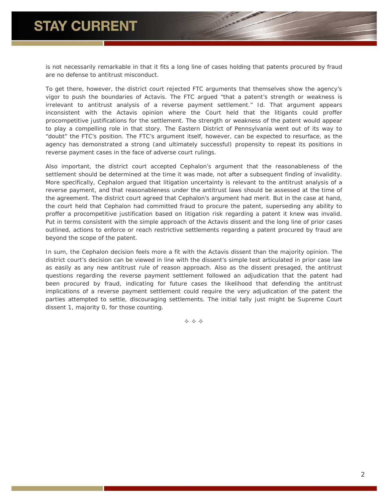is not necessarily remarkable in that it fits a long line of cases holding that patents procured by fraud are no defense to antitrust misconduct.

To get there, however, the district court rejected FTC arguments that themselves show the agency's vigor to push the boundaries of *Actavis*. The FTC argued "that a patent's strength or weakness is irrelevant to antitrust analysis of a reverse payment settlement." *Id*. That argument appears inconsistent with the *Actavis* opinion where the Court held that the litigants could proffer procompetitive justifications for the settlement. The strength or weakness of the patent would appear to play a compelling role in that story. The Eastern District of Pennsylvania went out of its way to "doubt" the FTC's position. The FTC's argument itself, however, can be expected to resurface, as the agency has demonstrated a strong (and ultimately successful) propensity to repeat its positions in reverse payment cases in the face of adverse court rulings.

Also important, the district court accepted Cephalon's argument that the reasonableness of the settlement should be determined at the time it was made, not after a subsequent finding of invalidity. More specifically, Cephalon argued that litigation uncertainty is relevant to the antitrust analysis of a reverse payment, and that reasonableness under the antitrust laws should be assessed at the time of the agreement. The district court agreed that Cephalon's argument had merit. But in the case at hand, the court held that Cephalon had committed fraud to procure the patent, superseding any ability to proffer a procompetitive justification based on litigation risk regarding a patent it knew was invalid. Put in terms consistent with the simple approach of the *Actavis* dissent and the long line of prior cases outlined, actions to enforce or reach restrictive settlements regarding a patent procured by fraud are beyond the scope of the patent.

In sum, the *Cephalon* decision feels more a fit with the *Actavis* dissent than the majority opinion. The district court's decision can be viewed in line with the dissent's simple test articulated in prior case law as easily as any new antitrust rule of reason approach. Also as the dissent presaged, the antitrust questions regarding the reverse payment settlement followed an adjudication that the patent had been procured by fraud, indicating for future cases the likelihood that defending the antitrust implications of a reverse payment settlement could require the very adjudication of the patent the parties attempted to settle, discouraging settlements. The initial tally just might be Supreme Court dissent 1, majority 0, for those counting.

 $\Leftrightarrow$   $\Leftrightarrow$   $\Leftrightarrow$